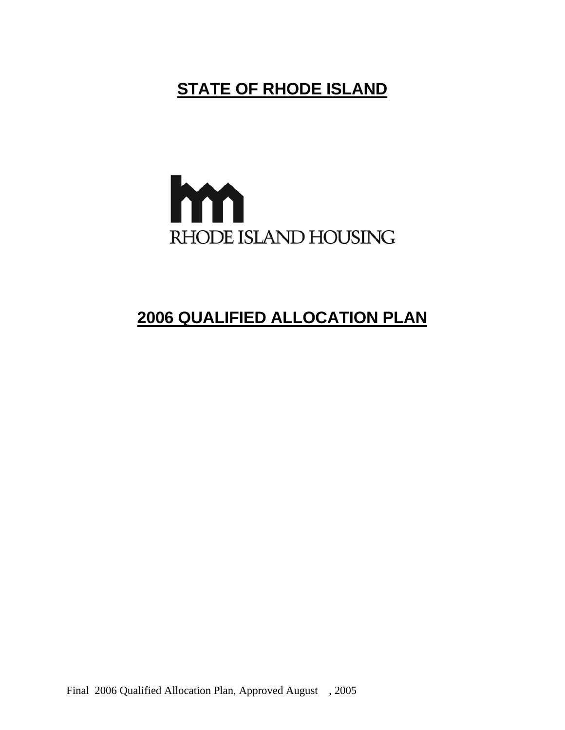# **STATE OF RHODE ISLAND**



# **2006 QUALIFIED ALLOCATION PLAN**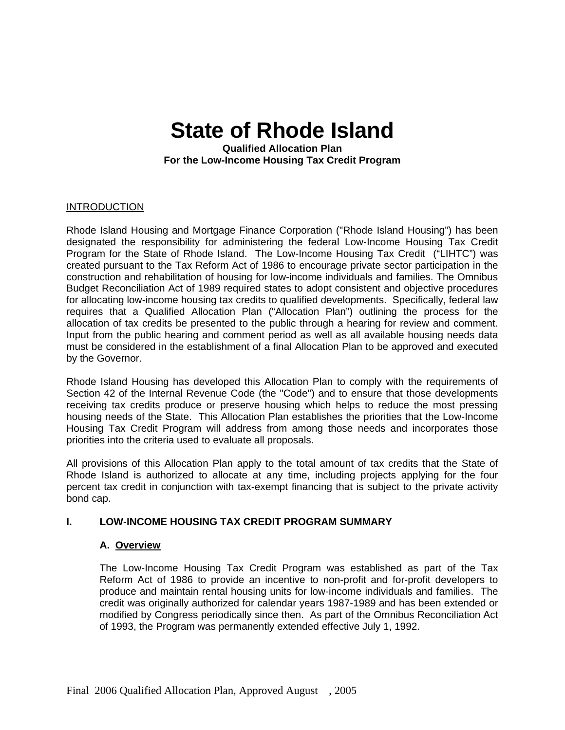# **State of Rhode Island**

**Qualified Allocation Plan For the Low-Income Housing Tax Credit Program** 

#### **INTRODUCTION**

Rhode Island Housing and Mortgage Finance Corporation ("Rhode Island Housing") has been designated the responsibility for administering the federal Low-Income Housing Tax Credit Program for the State of Rhode Island. The Low-Income Housing Tax Credit ("LIHTC") was created pursuant to the Tax Reform Act of 1986 to encourage private sector participation in the construction and rehabilitation of housing for low-income individuals and families. The Omnibus Budget Reconciliation Act of 1989 required states to adopt consistent and objective procedures for allocating low-income housing tax credits to qualified developments. Specifically, federal law requires that a Qualified Allocation Plan ("Allocation Plan") outlining the process for the allocation of tax credits be presented to the public through a hearing for review and comment. Input from the public hearing and comment period as well as all available housing needs data must be considered in the establishment of a final Allocation Plan to be approved and executed by the Governor.

Rhode Island Housing has developed this Allocation Plan to comply with the requirements of Section 42 of the Internal Revenue Code (the "Code") and to ensure that those developments receiving tax credits produce or preserve housing which helps to reduce the most pressing housing needs of the State. This Allocation Plan establishes the priorities that the Low-Income Housing Tax Credit Program will address from among those needs and incorporates those priorities into the criteria used to evaluate all proposals.

All provisions of this Allocation Plan apply to the total amount of tax credits that the State of Rhode Island is authorized to allocate at any time, including projects applying for the four percent tax credit in conjunction with tax-exempt financing that is subject to the private activity bond cap.

#### **I. LOW-INCOME HOUSING TAX CREDIT PROGRAM SUMMARY**

#### **A. Overview**

The Low-Income Housing Tax Credit Program was established as part of the Tax Reform Act of 1986 to provide an incentive to non-profit and for-profit developers to produce and maintain rental housing units for low-income individuals and families. The credit was originally authorized for calendar years 1987-1989 and has been extended or modified by Congress periodically since then. As part of the Omnibus Reconciliation Act of 1993, the Program was permanently extended effective July 1, 1992.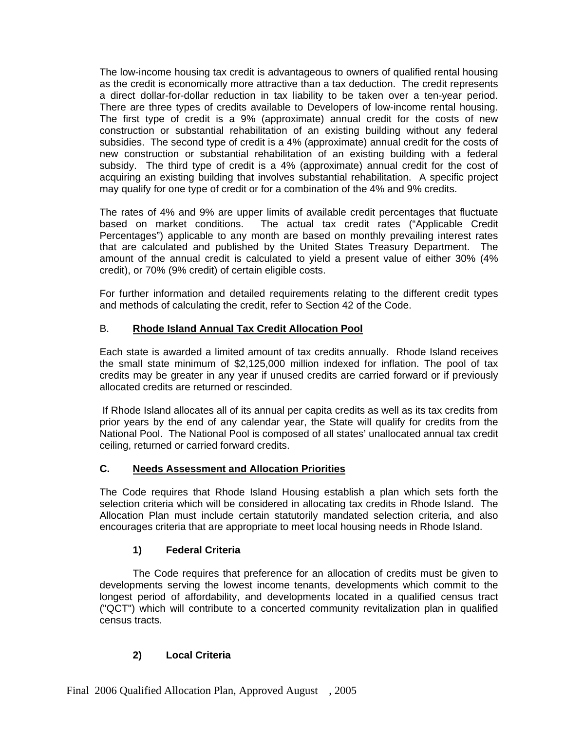The low-income housing tax credit is advantageous to owners of qualified rental housing as the credit is economically more attractive than a tax deduction. The credit represents a direct dollar-for-dollar reduction in tax liability to be taken over a ten-year period. There are three types of credits available to Developers of low-income rental housing. The first type of credit is a 9% (approximate) annual credit for the costs of new construction or substantial rehabilitation of an existing building without any federal subsidies. The second type of credit is a 4% (approximate) annual credit for the costs of new construction or substantial rehabilitation of an existing building with a federal subsidy. The third type of credit is a 4% (approximate) annual credit for the cost of acquiring an existing building that involves substantial rehabilitation. A specific project may qualify for one type of credit or for a combination of the 4% and 9% credits.

The rates of 4% and 9% are upper limits of available credit percentages that fluctuate based on market conditions. The actual tax credit rates ("Applicable Credit Percentages") applicable to any month are based on monthly prevailing interest rates that are calculated and published by the United States Treasury Department. The amount of the annual credit is calculated to yield a present value of either 30% (4% credit), or 70% (9% credit) of certain eligible costs.

For further information and detailed requirements relating to the different credit types and methods of calculating the credit, refer to Section 42 of the Code.

# B. **Rhode Island Annual Tax Credit Allocation Pool**

Each state is awarded a limited amount of tax credits annually. Rhode Island receives the small state minimum of \$2,125,000 million indexed for inflation. The pool of tax credits may be greater in any year if unused credits are carried forward or if previously allocated credits are returned or rescinded.

If Rhode Island allocates all of its annual per capita credits as well as its tax credits from prior years by the end of any calendar year, the State will qualify for credits from the National Pool. The National Pool is composed of all states' unallocated annual tax credit ceiling, returned or carried forward credits.

# **C. Needs Assessment and Allocation Priorities**

The Code requires that Rhode Island Housing establish a plan which sets forth the selection criteria which will be considered in allocating tax credits in Rhode Island. The Allocation Plan must include certain statutorily mandated selection criteria, and also encourages criteria that are appropriate to meet local housing needs in Rhode Island.

# **1) Federal Criteria**

The Code requires that preference for an allocation of credits must be given to developments serving the lowest income tenants, developments which commit to the longest period of affordability, and developments located in a qualified census tract ("QCT") which will contribute to a concerted community revitalization plan in qualified census tracts.

# **2) Local Criteria**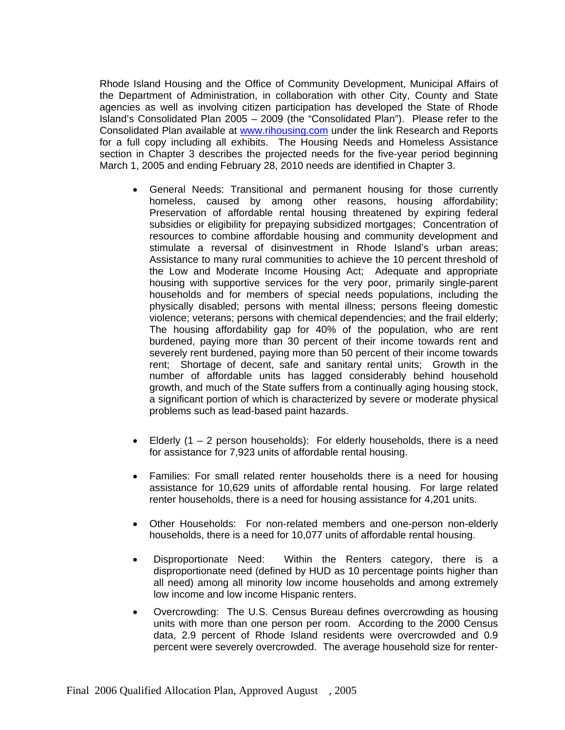Rhode Island Housing and the Office of Community Development, Municipal Affairs of the Department of Administration, in collaboration with other City, County and State agencies as well as involving citizen participation has developed the State of Rhode Island's Consolidated Plan 2005 – 2009 (the "Consolidated Plan"). Please refer to the Consolidated Plan available at [www.rihousing.com](http://www.rihousing.com/) under the link Research and Reports for a full copy including all exhibits. The Housing Needs and Homeless Assistance section in Chapter 3 describes the projected needs for the five-year period beginning March 1, 2005 and ending February 28, 2010 needs are identified in Chapter 3.

- General Needs: Transitional and permanent housing for those currently homeless, caused by among other reasons, housing affordability; Preservation of affordable rental housing threatened by expiring federal subsidies or eligibility for prepaying subsidized mortgages; Concentration of resources to combine affordable housing and community development and stimulate a reversal of disinvestment in Rhode Island's urban areas; Assistance to many rural communities to achieve the 10 percent threshold of the Low and Moderate Income Housing Act; Adequate and appropriate housing with supportive services for the very poor, primarily single-parent households and for members of special needs populations, including the physically disabled; persons with mental illness; persons fleeing domestic violence; veterans; persons with chemical dependencies; and the frail elderly; The housing affordability gap for 40% of the population, who are rent burdened, paying more than 30 percent of their income towards rent and severely rent burdened, paying more than 50 percent of their income towards rent; Shortage of decent, safe and sanitary rental units; Growth in the number of affordable units has lagged considerably behind household growth, and much of the State suffers from a continually aging housing stock, a significant portion of which is characterized by severe or moderate physical problems such as lead-based paint hazards.
- Elderly  $(1 2)$  person households): For elderly households, there is a need for assistance for 7,923 units of affordable rental housing.
- Families: For small related renter households there is a need for housing assistance for 10,629 units of affordable rental housing. For large related renter households, there is a need for housing assistance for 4,201 units.
- Other Households: For non-related members and one-person non-elderly households, there is a need for 10,077 units of affordable rental housing.
- Disproportionate Need: Within the Renters category, there is a disproportionate need (defined by HUD as 10 percentage points higher than all need) among all minority low income households and among extremely low income and low income Hispanic renters.
- Overcrowding: The U.S. Census Bureau defines overcrowding as housing units with more than one person per room. According to the 2000 Census data, 2.9 percent of Rhode Island residents were overcrowded and 0.9 percent were severely overcrowded. The average household size for renter-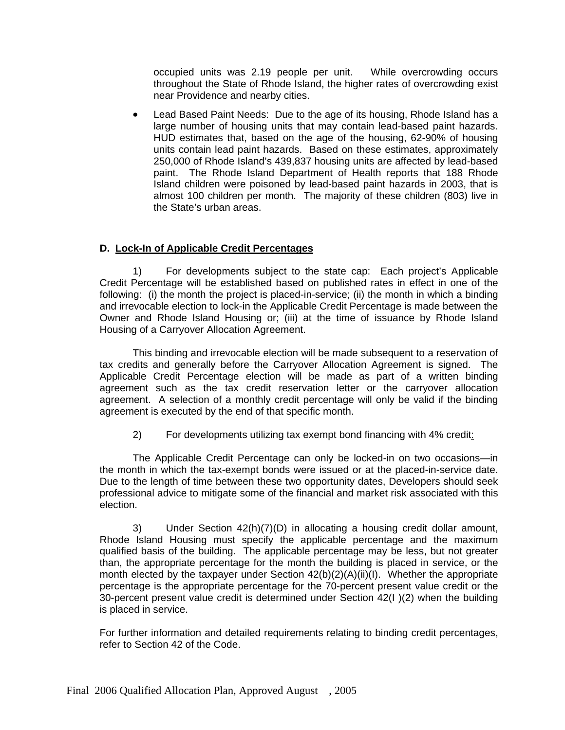occupied units was 2.19 people per unit. While overcrowding occurs throughout the State of Rhode Island, the higher rates of overcrowding exist near Providence and nearby cities.

• Lead Based Paint Needs: Due to the age of its housing, Rhode Island has a large number of housing units that may contain lead-based paint hazards. HUD estimates that, based on the age of the housing, 62-90% of housing units contain lead paint hazards. Based on these estimates, approximately 250,000 of Rhode Island's 439,837 housing units are affected by lead-based paint. The Rhode Island Department of Health reports that 188 Rhode Island children were poisoned by lead-based paint hazards in 2003, that is almost 100 children per month. The majority of these children (803) live in the State's urban areas.

#### **D. Lock-In of Applicable Credit Percentages**

1) For developments subject to the state cap: Each project's Applicable Credit Percentage will be established based on published rates in effect in one of the following: (i) the month the project is placed-in-service; (ii) the month in which a binding and irrevocable election to lock-in the Applicable Credit Percentage is made between the Owner and Rhode Island Housing or; (iii) at the time of issuance by Rhode Island Housing of a Carryover Allocation Agreement.

This binding and irrevocable election will be made subsequent to a reservation of tax credits and generally before the Carryover Allocation Agreement is signed. The Applicable Credit Percentage election will be made as part of a written binding agreement such as the tax credit reservation letter or the carryover allocation agreement. A selection of a monthly credit percentage will only be valid if the binding agreement is executed by the end of that specific month.

2) For developments utilizing tax exempt bond financing with 4% credit:

The Applicable Credit Percentage can only be locked-in on two occasions—in the month in which the tax-exempt bonds were issued or at the placed-in-service date. Due to the length of time between these two opportunity dates, Developers should seek professional advice to mitigate some of the financial and market risk associated with this election.

3) Under Section 42(h)(7)(D) in allocating a housing credit dollar amount, Rhode Island Housing must specify the applicable percentage and the maximum qualified basis of the building. The applicable percentage may be less, but not greater than, the appropriate percentage for the month the building is placed in service, or the month elected by the taxpayer under Section 42(b)(2)(A)(ii)(I). Whether the appropriate percentage is the appropriate percentage for the 70-percent present value credit or the 30-percent present value credit is determined under Section 42(I )(2) when the building is placed in service.

For further information and detailed requirements relating to binding credit percentages, refer to Section 42 of the Code.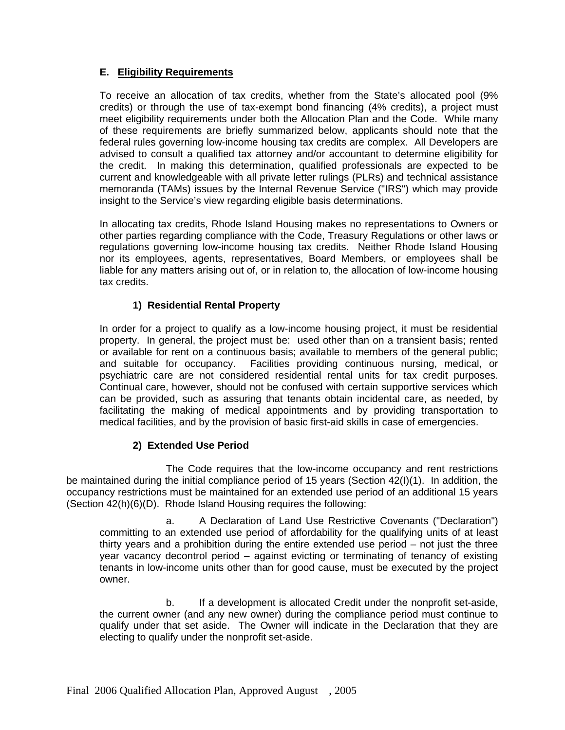#### **E. Eligibility Requirements**

To receive an allocation of tax credits, whether from the State's allocated pool (9% credits) or through the use of tax-exempt bond financing (4% credits), a project must meet eligibility requirements under both the Allocation Plan and the Code. While many of these requirements are briefly summarized below, applicants should note that the federal rules governing low-income housing tax credits are complex. All Developers are advised to consult a qualified tax attorney and/or accountant to determine eligibility for the credit. In making this determination, qualified professionals are expected to be current and knowledgeable with all private letter rulings (PLRs) and technical assistance memoranda (TAMs) issues by the Internal Revenue Service ("IRS") which may provide insight to the Service's view regarding eligible basis determinations.

In allocating tax credits, Rhode Island Housing makes no representations to Owners or other parties regarding compliance with the Code, Treasury Regulations or other laws or regulations governing low-income housing tax credits. Neither Rhode Island Housing nor its employees, agents, representatives, Board Members, or employees shall be liable for any matters arising out of, or in relation to, the allocation of low-income housing tax credits.

# **1) Residential Rental Property**

In order for a project to qualify as a low-income housing project, it must be residential property. In general, the project must be: used other than on a transient basis; rented or available for rent on a continuous basis; available to members of the general public; and suitable for occupancy. Facilities providing continuous nursing, medical, or psychiatric care are not considered residential rental units for tax credit purposes. Continual care, however, should not be confused with certain supportive services which can be provided, such as assuring that tenants obtain incidental care, as needed, by facilitating the making of medical appointments and by providing transportation to medical facilities, and by the provision of basic first-aid skills in case of emergencies.

#### **2) Extended Use Period**

The Code requires that the low-income occupancy and rent restrictions be maintained during the initial compliance period of 15 years (Section 42(I)(1). In addition, the occupancy restrictions must be maintained for an extended use period of an additional 15 years (Section 42(h)(6)(D). Rhode Island Housing requires the following:

a. A Declaration of Land Use Restrictive Covenants ("Declaration") committing to an extended use period of affordability for the qualifying units of at least thirty years and a prohibition during the entire extended use period – not just the three year vacancy decontrol period – against evicting or terminating of tenancy of existing tenants in low-income units other than for good cause, must be executed by the project owner.

b. If a development is allocated Credit under the nonprofit set-aside, the current owner (and any new owner) during the compliance period must continue to qualify under that set aside. The Owner will indicate in the Declaration that they are electing to qualify under the nonprofit set-aside.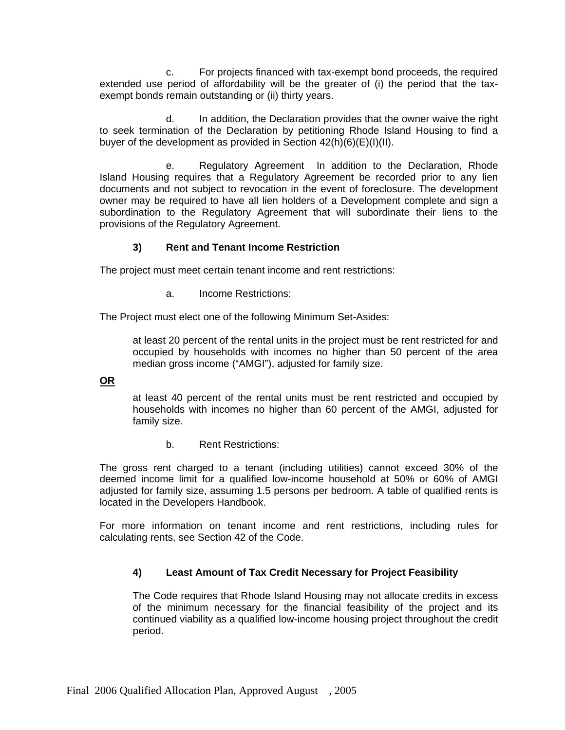c. For projects financed with tax-exempt bond proceeds, the required extended use period of affordability will be the greater of (i) the period that the taxexempt bonds remain outstanding or (ii) thirty years.

d. In addition, the Declaration provides that the owner waive the right to seek termination of the Declaration by petitioning Rhode Island Housing to find a buyer of the development as provided in Section  $42(h)(6)(E)(I)(II)$ .

e. Regulatory Agreement In addition to the Declaration, Rhode Island Housing requires that a Regulatory Agreement be recorded prior to any lien documents and not subject to revocation in the event of foreclosure. The development owner may be required to have all lien holders of a Development complete and sign a subordination to the Regulatory Agreement that will subordinate their liens to the provisions of the Regulatory Agreement.

# **3) Rent and Tenant Income Restriction**

The project must meet certain tenant income and rent restrictions:

a. Income Restrictions:

The Project must elect one of the following Minimum Set-Asides:

at least 20 percent of the rental units in the project must be rent restricted for and occupied by households with incomes no higher than 50 percent of the area median gross income ("AMGI"), adjusted for family size.

#### **OR**

at least 40 percent of the rental units must be rent restricted and occupied by households with incomes no higher than 60 percent of the AMGI, adjusted for family size.

b. Rent Restrictions:

The gross rent charged to a tenant (including utilities) cannot exceed 30% of the deemed income limit for a qualified low-income household at 50% or 60% of AMGI adjusted for family size, assuming 1.5 persons per bedroom. A table of qualified rents is located in the Developers Handbook.

For more information on tenant income and rent restrictions, including rules for calculating rents, see Section 42 of the Code.

# **4) Least Amount of Tax Credit Necessary for Project Feasibility**

The Code requires that Rhode Island Housing may not allocate credits in excess of the minimum necessary for the financial feasibility of the project and its continued viability as a qualified low-income housing project throughout the credit period.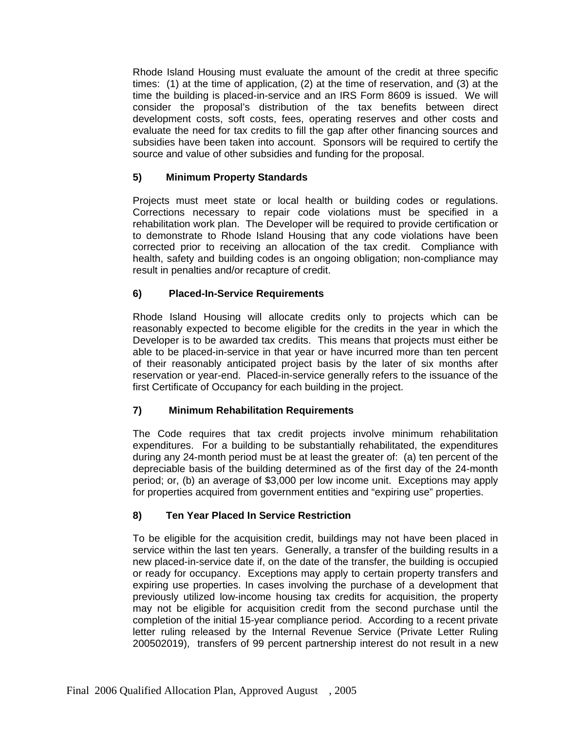Rhode Island Housing must evaluate the amount of the credit at three specific times: (1) at the time of application, (2) at the time of reservation, and (3) at the time the building is placed-in-service and an IRS Form 8609 is issued. We will consider the proposal's distribution of the tax benefits between direct development costs, soft costs, fees, operating reserves and other costs and evaluate the need for tax credits to fill the gap after other financing sources and subsidies have been taken into account. Sponsors will be required to certify the source and value of other subsidies and funding for the proposal.

# **5) Minimum Property Standards**

Projects must meet state or local health or building codes or regulations. Corrections necessary to repair code violations must be specified in a rehabilitation work plan. The Developer will be required to provide certification or to demonstrate to Rhode Island Housing that any code violations have been corrected prior to receiving an allocation of the tax credit. Compliance with health, safety and building codes is an ongoing obligation; non-compliance may result in penalties and/or recapture of credit.

# **6) Placed-In-Service Requirements**

Rhode Island Housing will allocate credits only to projects which can be reasonably expected to become eligible for the credits in the year in which the Developer is to be awarded tax credits. This means that projects must either be able to be placed-in-service in that year or have incurred more than ten percent of their reasonably anticipated project basis by the later of six months after reservation or year-end. Placed-in-service generally refers to the issuance of the first Certificate of Occupancy for each building in the project.

# **7) Minimum Rehabilitation Requirements**

The Code requires that tax credit projects involve minimum rehabilitation expenditures. For a building to be substantially rehabilitated, the expenditures during any 24-month period must be at least the greater of: (a) ten percent of the depreciable basis of the building determined as of the first day of the 24-month period; or, (b) an average of \$3,000 per low income unit. Exceptions may apply for properties acquired from government entities and "expiring use" properties.

# **8) Ten Year Placed In Service Restriction**

To be eligible for the acquisition credit, buildings may not have been placed in service within the last ten years. Generally, a transfer of the building results in a new placed-in-service date if, on the date of the transfer, the building is occupied or ready for occupancy. Exceptions may apply to certain property transfers and expiring use properties. In cases involving the purchase of a development that previously utilized low-income housing tax credits for acquisition, the property may not be eligible for acquisition credit from the second purchase until the completion of the initial 15-year compliance period. According to a recent private letter ruling released by the Internal Revenue Service (Private Letter Ruling 200502019), transfers of 99 percent partnership interest do not result in a new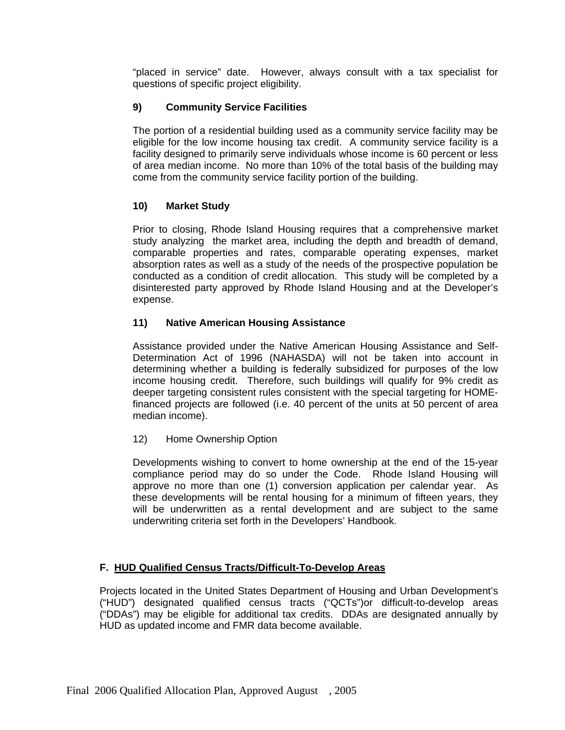"placed in service" date. However, always consult with a tax specialist for questions of specific project eligibility.

# **9) Community Service Facilities**

The portion of a residential building used as a community service facility may be eligible for the low income housing tax credit. A community service facility is a facility designed to primarily serve individuals whose income is 60 percent or less of area median income. No more than 10% of the total basis of the building may come from the community service facility portion of the building.

# **10) Market Study**

Prior to closing, Rhode Island Housing requires that a comprehensive market study analyzing the market area, including the depth and breadth of demand, comparable properties and rates, comparable operating expenses, market absorption rates as well as a study of the needs of the prospective population be conducted as a condition of credit allocation. This study will be completed by a disinterested party approved by Rhode Island Housing and at the Developer's expense.

# **11) Native American Housing Assistance**

Assistance provided under the Native American Housing Assistance and Self-Determination Act of 1996 (NAHASDA) will not be taken into account in determining whether a building is federally subsidized for purposes of the low income housing credit. Therefore, such buildings will qualify for 9% credit as deeper targeting consistent rules consistent with the special targeting for HOMEfinanced projects are followed (i.e. 40 percent of the units at 50 percent of area median income).

# 12) Home Ownership Option

Developments wishing to convert to home ownership at the end of the 15-year compliance period may do so under the Code. Rhode Island Housing will approve no more than one (1) conversion application per calendar year. As these developments will be rental housing for a minimum of fifteen years, they will be underwritten as a rental development and are subject to the same underwriting criteria set forth in the Developers' Handbook.

# **F. HUD Qualified Census Tracts/Difficult-To-Develop Areas**

Projects located in the United States Department of Housing and Urban Development's ("HUD") designated qualified census tracts ("QCTs")or difficult-to-develop areas ("DDAs") may be eligible for additional tax credits. DDAs are designated annually by HUD as updated income and FMR data become available.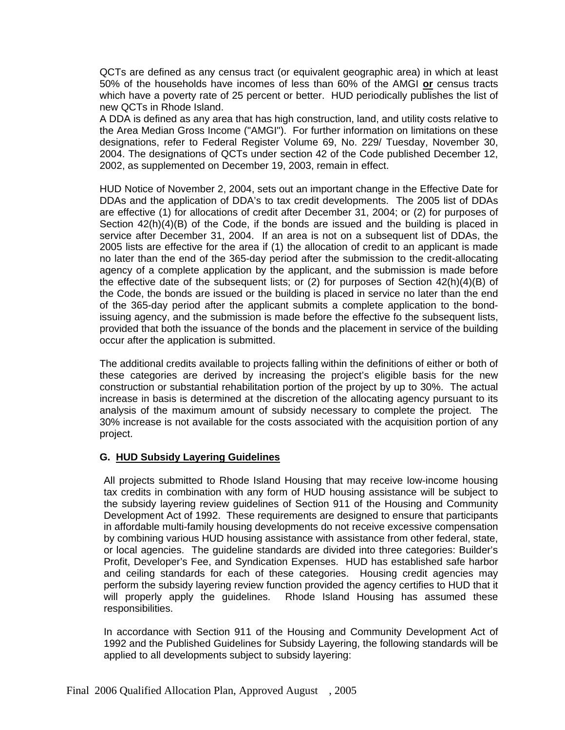QCTs are defined as any census tract (or equivalent geographic area) in which at least 50% of the households have incomes of less than 60% of the AMGI **or** census tracts which have a poverty rate of 25 percent or better. HUD periodically publishes the list of new QCTs in Rhode Island.

A DDA is defined as any area that has high construction, land, and utility costs relative to the Area Median Gross Income ("AMGI"). For further information on limitations on these designations, refer to Federal Register Volume 69, No. 229/ Tuesday, November 30, 2004. The designations of QCTs under section 42 of the Code published December 12, 2002, as supplemented on December 19, 2003, remain in effect.

HUD Notice of November 2, 2004, sets out an important change in the Effective Date for DDAs and the application of DDA's to tax credit developments. The 2005 list of DDAs are effective (1) for allocations of credit after December 31, 2004; or (2) for purposes of Section  $42(h)(4)(B)$  of the Code, if the bonds are issued and the building is placed in service after December 31, 2004. If an area is not on a subsequent list of DDAs, the 2005 lists are effective for the area if (1) the allocation of credit to an applicant is made no later than the end of the 365-day period after the submission to the credit-allocating agency of a complete application by the applicant, and the submission is made before the effective date of the subsequent lists; or  $(2)$  for purposes of Section  $42(h)(4)(B)$  of the Code, the bonds are issued or the building is placed in service no later than the end of the 365-day period after the applicant submits a complete application to the bondissuing agency, and the submission is made before the effective fo the subsequent lists, provided that both the issuance of the bonds and the placement in service of the building occur after the application is submitted.

The additional credits available to projects falling within the definitions of either or both of these categories are derived by increasing the project's eligible basis for the new construction or substantial rehabilitation portion of the project by up to 30%. The actual increase in basis is determined at the discretion of the allocating agency pursuant to its analysis of the maximum amount of subsidy necessary to complete the project. The 30% increase is not available for the costs associated with the acquisition portion of any project.

#### **G. HUD Subsidy Layering Guidelines**

All projects submitted to Rhode Island Housing that may receive low-income housing tax credits in combination with any form of HUD housing assistance will be subject to the subsidy layering review guidelines of Section 911 of the Housing and Community Development Act of 1992. These requirements are designed to ensure that participants in affordable multi-family housing developments do not receive excessive compensation by combining various HUD housing assistance with assistance from other federal, state, or local agencies. The guideline standards are divided into three categories: Builder's Profit, Developer's Fee, and Syndication Expenses. HUD has established safe harbor and ceiling standards for each of these categories. Housing credit agencies may perform the subsidy layering review function provided the agency certifies to HUD that it will properly apply the guidelines. Rhode Island Housing has assumed these responsibilities.

In accordance with Section 911 of the Housing and Community Development Act of 1992 and the Published Guidelines for Subsidy Layering, the following standards will be applied to all developments subject to subsidy layering: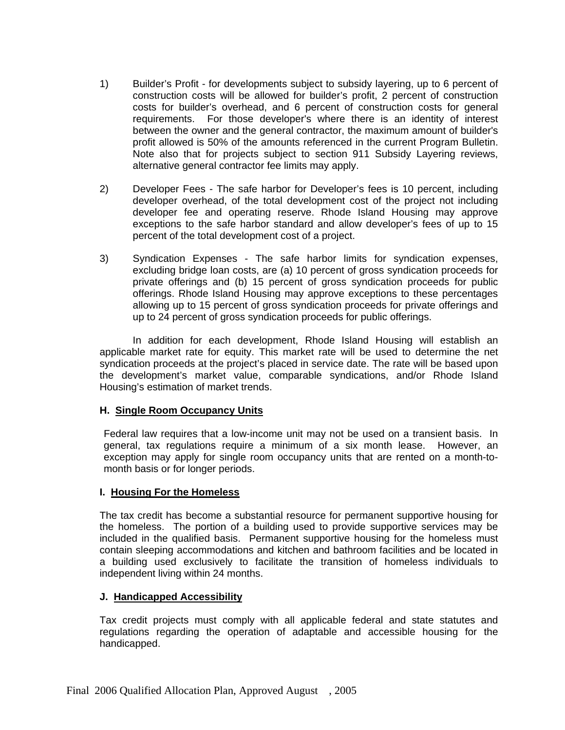- 1) Builder's Profit for developments subject to subsidy layering, up to 6 percent of construction costs will be allowed for builder's profit, 2 percent of construction costs for builder's overhead, and 6 percent of construction costs for general requirements. For those developer's where there is an identity of interest between the owner and the general contractor, the maximum amount of builder's profit allowed is 50% of the amounts referenced in the current Program Bulletin. Note also that for projects subject to section 911 Subsidy Layering reviews, alternative general contractor fee limits may apply.
- 2) Developer Fees The safe harbor for Developer's fees is 10 percent, including developer overhead, of the total development cost of the project not including developer fee and operating reserve. Rhode Island Housing may approve exceptions to the safe harbor standard and allow developer's fees of up to 15 percent of the total development cost of a project.
- 3) Syndication Expenses The safe harbor limits for syndication expenses, excluding bridge loan costs, are (a) 10 percent of gross syndication proceeds for private offerings and (b) 15 percent of gross syndication proceeds for public offerings. Rhode Island Housing may approve exceptions to these percentages allowing up to 15 percent of gross syndication proceeds for private offerings and up to 24 percent of gross syndication proceeds for public offerings.

In addition for each development, Rhode Island Housing will establish an applicable market rate for equity. This market rate will be used to determine the net syndication proceeds at the project's placed in service date. The rate will be based upon the development's market value, comparable syndications, and/or Rhode Island Housing's estimation of market trends.

#### **H. Single Room Occupancy Units**

Federal law requires that a low-income unit may not be used on a transient basis. In general, tax regulations require a minimum of a six month lease. However, an exception may apply for single room occupancy units that are rented on a month-tomonth basis or for longer periods.

#### **I. Housing For the Homeless**

The tax credit has become a substantial resource for permanent supportive housing for the homeless. The portion of a building used to provide supportive services may be included in the qualified basis. Permanent supportive housing for the homeless must contain sleeping accommodations and kitchen and bathroom facilities and be located in a building used exclusively to facilitate the transition of homeless individuals to independent living within 24 months.

#### **J. Handicapped Accessibility**

Tax credit projects must comply with all applicable federal and state statutes and regulations regarding the operation of adaptable and accessible housing for the handicapped.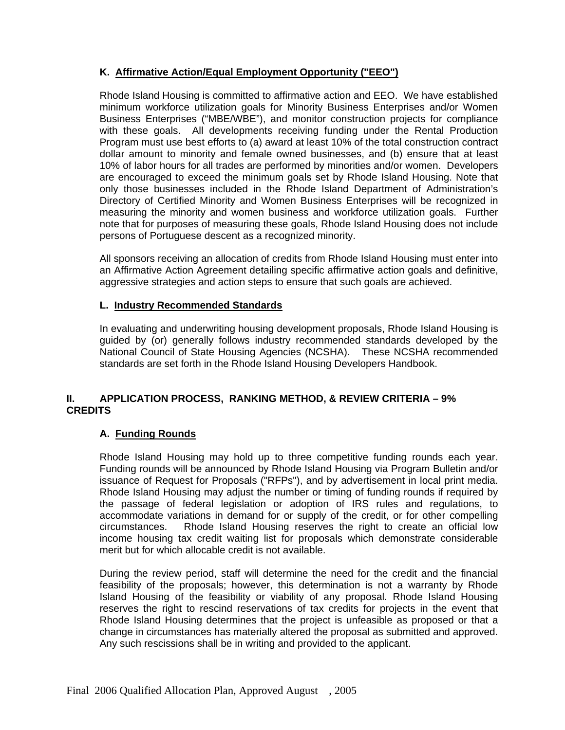# **K. Affirmative Action/Equal Employment Opportunity ("EEO")**

Rhode Island Housing is committed to affirmative action and EEO. We have established minimum workforce utilization goals for Minority Business Enterprises and/or Women Business Enterprises ("MBE/WBE"), and monitor construction projects for compliance with these goals. All developments receiving funding under the Rental Production Program must use best efforts to (a) award at least 10% of the total construction contract dollar amount to minority and female owned businesses, and (b) ensure that at least 10% of labor hours for all trades are performed by minorities and/or women. Developers are encouraged to exceed the minimum goals set by Rhode Island Housing. Note that only those businesses included in the Rhode Island Department of Administration's Directory of Certified Minority and Women Business Enterprises will be recognized in measuring the minority and women business and workforce utilization goals. Further note that for purposes of measuring these goals, Rhode Island Housing does not include persons of Portuguese descent as a recognized minority.

All sponsors receiving an allocation of credits from Rhode Island Housing must enter into an Affirmative Action Agreement detailing specific affirmative action goals and definitive, aggressive strategies and action steps to ensure that such goals are achieved.

#### **L. Industry Recommended Standards**

In evaluating and underwriting housing development proposals, Rhode Island Housing is guided by (or) generally follows industry recommended standards developed by the National Council of State Housing Agencies (NCSHA). These NCSHA recommended standards are set forth in the Rhode Island Housing Developers Handbook.

#### **II. APPLICATION PROCESS, RANKING METHOD, & REVIEW CRITERIA – 9% CREDITS**

#### **A. Funding Rounds**

Rhode Island Housing may hold up to three competitive funding rounds each year. Funding rounds will be announced by Rhode Island Housing via Program Bulletin and/or issuance of Request for Proposals ("RFPs"), and by advertisement in local print media. Rhode Island Housing may adjust the number or timing of funding rounds if required by the passage of federal legislation or adoption of IRS rules and regulations, to accommodate variations in demand for or supply of the credit, or for other compelling circumstances. Rhode Island Housing reserves the right to create an official low income housing tax credit waiting list for proposals which demonstrate considerable merit but for which allocable credit is not available.

During the review period, staff will determine the need for the credit and the financial feasibility of the proposals; however, this determination is not a warranty by Rhode Island Housing of the feasibility or viability of any proposal. Rhode Island Housing reserves the right to rescind reservations of tax credits for projects in the event that Rhode Island Housing determines that the project is unfeasible as proposed or that a change in circumstances has materially altered the proposal as submitted and approved. Any such rescissions shall be in writing and provided to the applicant.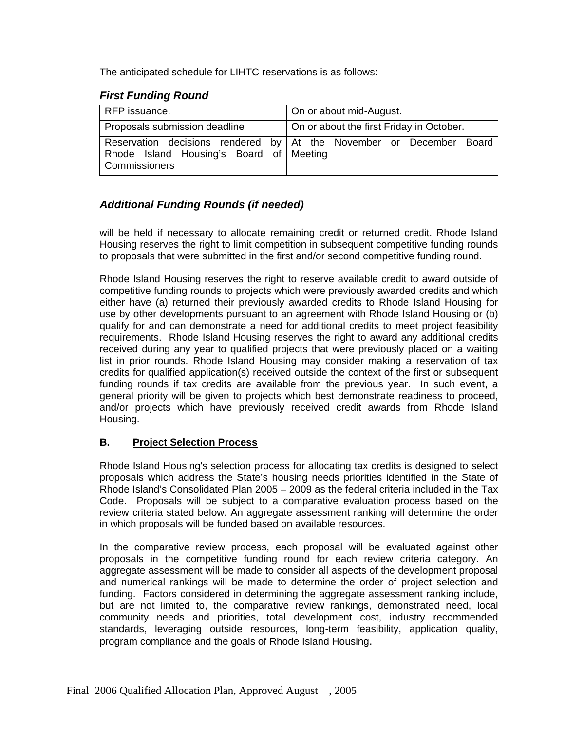The anticipated schedule for LIHTC reservations is as follows:

# *First Funding Round*

| RFP issuance.                                                   | On or about mid-August.                                             |  |
|-----------------------------------------------------------------|---------------------------------------------------------------------|--|
| Proposals submission deadline                                   | On or about the first Friday in October.                            |  |
| Rhode Island Housing's Board of Meeting<br><b>Commissioners</b> | Reservation decisions rendered by At the November or December Board |  |

# *Additional Funding Rounds (if needed)*

will be held if necessary to allocate remaining credit or returned credit. Rhode Island Housing reserves the right to limit competition in subsequent competitive funding rounds to proposals that were submitted in the first and/or second competitive funding round.

Rhode Island Housing reserves the right to reserve available credit to award outside of competitive funding rounds to projects which were previously awarded credits and which either have (a) returned their previously awarded credits to Rhode Island Housing for use by other developments pursuant to an agreement with Rhode Island Housing or (b) qualify for and can demonstrate a need for additional credits to meet project feasibility requirements. Rhode Island Housing reserves the right to award any additional credits received during any year to qualified projects that were previously placed on a waiting list in prior rounds. Rhode Island Housing may consider making a reservation of tax credits for qualified application(s) received outside the context of the first or subsequent funding rounds if tax credits are available from the previous year. In such event, a general priority will be given to projects which best demonstrate readiness to proceed, and/or projects which have previously received credit awards from Rhode Island Housing.

# **B. Project Selection Process**

Rhode Island Housing's selection process for allocating tax credits is designed to select proposals which address the State's housing needs priorities identified in the State of Rhode Island's Consolidated Plan 2005 – 2009 as the federal criteria included in the Tax Code. Proposals will be subject to a comparative evaluation process based on the review criteria stated below. An aggregate assessment ranking will determine the order in which proposals will be funded based on available resources.

In the comparative review process, each proposal will be evaluated against other proposals in the competitive funding round for each review criteria category. An aggregate assessment will be made to consider all aspects of the development proposal and numerical rankings will be made to determine the order of project selection and funding. Factors considered in determining the aggregate assessment ranking include, but are not limited to, the comparative review rankings, demonstrated need, local community needs and priorities, total development cost, industry recommended standards, leveraging outside resources, long-term feasibility, application quality, program compliance and the goals of Rhode Island Housing.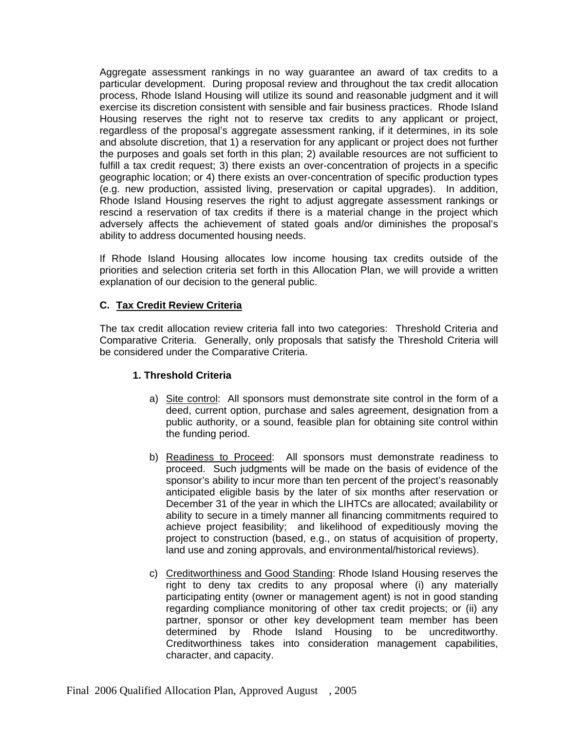Aggregate assessment rankings in no way guarantee an award of tax credits to a particular development. During proposal review and throughout the tax credit allocation process, Rhode Island Housing will utilize its sound and reasonable judgment and it will exercise its discretion consistent with sensible and fair business practices. Rhode Island Housing reserves the right not to reserve tax credits to any applicant or project, regardless of the proposal's aggregate assessment ranking, if it determines, in its sole and absolute discretion, that 1) a reservation for any applicant or project does not further the purposes and goals set forth in this plan; 2) available resources are not sufficient to fulfill a tax credit request; 3) there exists an over-concentration of projects in a specific geographic location; or 4) there exists an over-concentration of specific production types (e.g. new production, assisted living, preservation or capital upgrades). In addition, Rhode Island Housing reserves the right to adjust aggregate assessment rankings or rescind a reservation of tax credits if there is a material change in the project which adversely affects the achievement of stated goals and/or diminishes the proposal's ability to address documented housing needs.

If Rhode Island Housing allocates low income housing tax credits outside of the priorities and selection criteria set forth in this Allocation Plan, we will provide a written explanation of our decision to the general public.

# **C. Tax Credit Review Criteria**

The tax credit allocation review criteria fall into two categories: Threshold Criteria and Comparative Criteria. Generally, only proposals that satisfy the Threshold Criteria will be considered under the Comparative Criteria.

#### **1. Threshold Criteria**

- a) Site control: All sponsors must demonstrate site control in the form of a deed, current option, purchase and sales agreement, designation from a public authority, or a sound, feasible plan for obtaining site control within the funding period.
- b) Readiness to Proceed: All sponsors must demonstrate readiness to proceed. Such judgments will be made on the basis of evidence of the sponsor's ability to incur more than ten percent of the project's reasonably anticipated eligible basis by the later of six months after reservation or December 31 of the year in which the LIHTCs are allocated; availability or ability to secure in a timely manner all financing commitments required to achieve project feasibility; and likelihood of expeditiously moving the project to construction (based, e.g., on status of acquisition of property, land use and zoning approvals, and environmental/historical reviews).
- c) Creditworthiness and Good Standing: Rhode Island Housing reserves the right to deny tax credits to any proposal where (i) any materially participating entity (owner or management agent) is not in good standing regarding compliance monitoring of other tax credit projects; or (ii) any partner, sponsor or other key development team member has been determined by Rhode Island Housing to be uncreditworthy. Creditworthiness takes into consideration management capabilities, character, and capacity.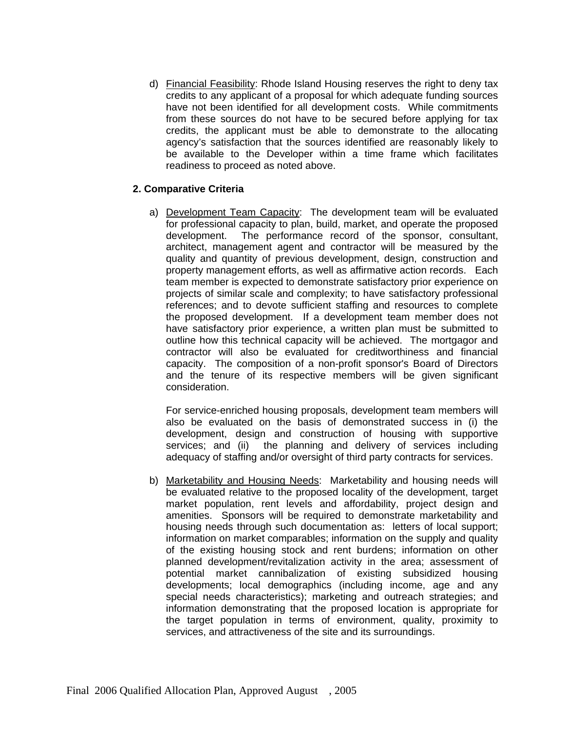d) Financial Feasibility: Rhode Island Housing reserves the right to deny tax credits to any applicant of a proposal for which adequate funding sources have not been identified for all development costs. While commitments from these sources do not have to be secured before applying for tax credits, the applicant must be able to demonstrate to the allocating agency's satisfaction that the sources identified are reasonably likely to be available to the Developer within a time frame which facilitates readiness to proceed as noted above.

#### **2. Comparative Criteria**

a) Development Team Capacity: The development team will be evaluated for professional capacity to plan, build, market, and operate the proposed development. The performance record of the sponsor, consultant, architect, management agent and contractor will be measured by the quality and quantity of previous development, design, construction and property management efforts, as well as affirmative action records. Each team member is expected to demonstrate satisfactory prior experience on projects of similar scale and complexity; to have satisfactory professional references; and to devote sufficient staffing and resources to complete the proposed development. If a development team member does not have satisfactory prior experience, a written plan must be submitted to outline how this technical capacity will be achieved. The mortgagor and contractor will also be evaluated for creditworthiness and financial capacity. The composition of a non-profit sponsor's Board of Directors and the tenure of its respective members will be given significant consideration.

For service-enriched housing proposals, development team members will also be evaluated on the basis of demonstrated success in (i) the development, design and construction of housing with supportive services; and (ii) the planning and delivery of services including adequacy of staffing and/or oversight of third party contracts for services.

b) Marketability and Housing Needs: Marketability and housing needs will be evaluated relative to the proposed locality of the development, target market population, rent levels and affordability, project design and amenities. Sponsors will be required to demonstrate marketability and housing needs through such documentation as: letters of local support; information on market comparables; information on the supply and quality of the existing housing stock and rent burdens; information on other planned development/revitalization activity in the area; assessment of potential market cannibalization of existing subsidized housing developments; local demographics (including income, age and any special needs characteristics); marketing and outreach strategies; and information demonstrating that the proposed location is appropriate for the target population in terms of environment, quality, proximity to services, and attractiveness of the site and its surroundings.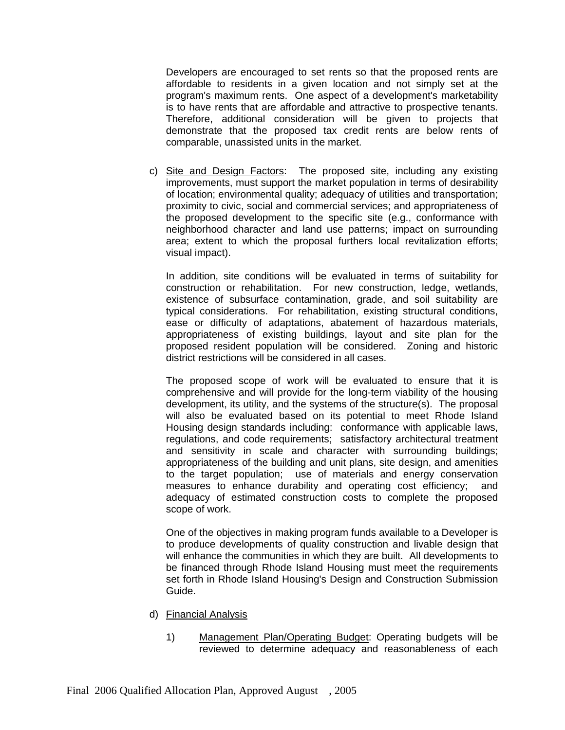Developers are encouraged to set rents so that the proposed rents are affordable to residents in a given location and not simply set at the program's maximum rents. One aspect of a development's marketability is to have rents that are affordable and attractive to prospective tenants. Therefore, additional consideration will be given to projects that demonstrate that the proposed tax credit rents are below rents of comparable, unassisted units in the market.

c) Site and Design Factors: The proposed site, including any existing improvements, must support the market population in terms of desirability of location; environmental quality; adequacy of utilities and transportation; proximity to civic, social and commercial services; and appropriateness of the proposed development to the specific site (e.g., conformance with neighborhood character and land use patterns; impact on surrounding area; extent to which the proposal furthers local revitalization efforts; visual impact).

In addition, site conditions will be evaluated in terms of suitability for construction or rehabilitation. For new construction, ledge, wetlands, existence of subsurface contamination, grade, and soil suitability are typical considerations. For rehabilitation, existing structural conditions, ease or difficulty of adaptations, abatement of hazardous materials, appropriateness of existing buildings, layout and site plan for the proposed resident population will be considered. Zoning and historic district restrictions will be considered in all cases.

The proposed scope of work will be evaluated to ensure that it is comprehensive and will provide for the long-term viability of the housing development, its utility, and the systems of the structure(s). The proposal will also be evaluated based on its potential to meet Rhode Island Housing design standards including: conformance with applicable laws, regulations, and code requirements; satisfactory architectural treatment and sensitivity in scale and character with surrounding buildings; appropriateness of the building and unit plans, site design, and amenities to the target population; use of materials and energy conservation measures to enhance durability and operating cost efficiency; and adequacy of estimated construction costs to complete the proposed scope of work.

One of the objectives in making program funds available to a Developer is to produce developments of quality construction and livable design that will enhance the communities in which they are built. All developments to be financed through Rhode Island Housing must meet the requirements set forth in Rhode Island Housing's Design and Construction Submission Guide.

- d) Financial Analysis
	- 1) Management Plan/Operating Budget: Operating budgets will be reviewed to determine adequacy and reasonableness of each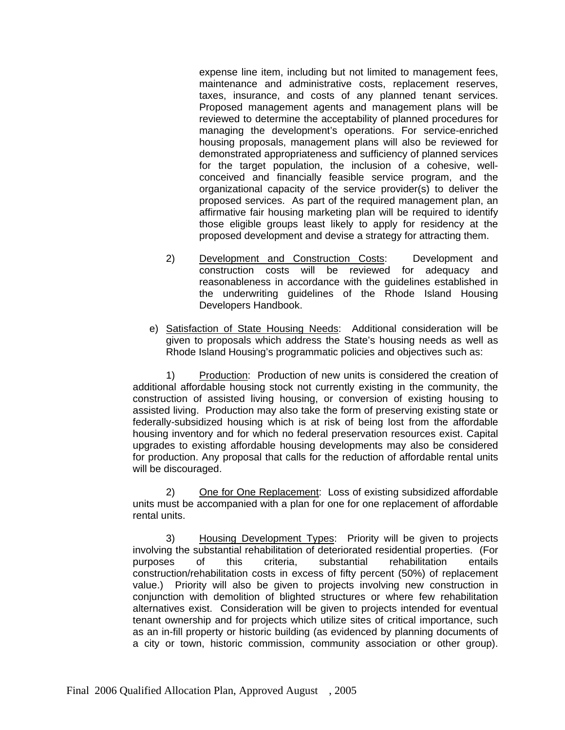expense line item, including but not limited to management fees, maintenance and administrative costs, replacement reserves, taxes, insurance, and costs of any planned tenant services. Proposed management agents and management plans will be reviewed to determine the acceptability of planned procedures for managing the development's operations. For service-enriched housing proposals, management plans will also be reviewed for demonstrated appropriateness and sufficiency of planned services for the target population, the inclusion of a cohesive, wellconceived and financially feasible service program, and the organizational capacity of the service provider(s) to deliver the proposed services. As part of the required management plan, an affirmative fair housing marketing plan will be required to identify those eligible groups least likely to apply for residency at the proposed development and devise a strategy for attracting them.

- 2) Development and Construction Costs: Development and construction costs will be reviewed for adequacy and reasonableness in accordance with the guidelines established in the underwriting guidelines of the Rhode Island Housing Developers Handbook.
- e) Satisfaction of State Housing Needs: Additional consideration will be given to proposals which address the State's housing needs as well as Rhode Island Housing's programmatic policies and objectives such as:

1) Production: Production of new units is considered the creation of additional affordable housing stock not currently existing in the community, the construction of assisted living housing, or conversion of existing housing to assisted living. Production may also take the form of preserving existing state or federally-subsidized housing which is at risk of being lost from the affordable housing inventory and for which no federal preservation resources exist. Capital upgrades to existing affordable housing developments may also be considered for production. Any proposal that calls for the reduction of affordable rental units will be discouraged.

2) One for One Replacement: Loss of existing subsidized affordable units must be accompanied with a plan for one for one replacement of affordable rental units.

3) Housing Development Types: Priority will be given to projects involving the substantial rehabilitation of deteriorated residential properties. (For purposes of this criteria, substantial rehabilitation entails construction/rehabilitation costs in excess of fifty percent (50%) of replacement value.) Priority will also be given to projects involving new construction in conjunction with demolition of blighted structures or where few rehabilitation alternatives exist. Consideration will be given to projects intended for eventual tenant ownership and for projects which utilize sites of critical importance, such as an in-fill property or historic building (as evidenced by planning documents of a city or town, historic commission, community association or other group).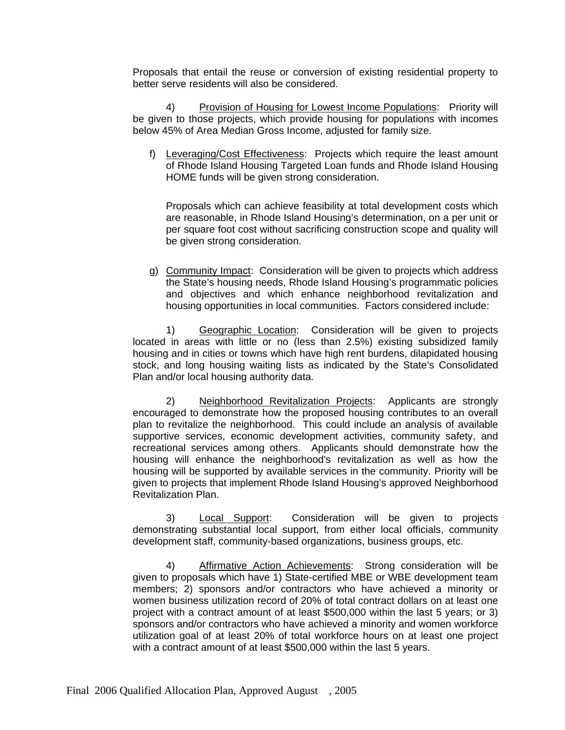Proposals that entail the reuse or conversion of existing residential property to better serve residents will also be considered.

4) Provision of Housing for Lowest Income Populations: Priority will be given to those projects, which provide housing for populations with incomes below 45% of Area Median Gross Income, adjusted for family size.

f) Leveraging/Cost Effectiveness: Projects which require the least amount of Rhode Island Housing Targeted Loan funds and Rhode Island Housing HOME funds will be given strong consideration.

Proposals which can achieve feasibility at total development costs which are reasonable, in Rhode Island Housing's determination, on a per unit or per square foot cost without sacrificing construction scope and quality will be given strong consideration.

g) Community Impact: Consideration will be given to projects which address the State's housing needs, Rhode Island Housing's programmatic policies and objectives and which enhance neighborhood revitalization and housing opportunities in local communities. Factors considered include:

1) Geographic Location: Consideration will be given to projects located in areas with little or no (less than 2.5%) existing subsidized family housing and in cities or towns which have high rent burdens, dilapidated housing stock, and long housing waiting lists as indicated by the State's Consolidated Plan and/or local housing authority data.

2) Neighborhood Revitalization Projects: Applicants are strongly encouraged to demonstrate how the proposed housing contributes to an overall plan to revitalize the neighborhood. This could include an analysis of available supportive services, economic development activities, community safety, and recreational services among others. Applicants should demonstrate how the housing will enhance the neighborhood's revitalization as well as how the housing will be supported by available services in the community. Priority will be given to projects that implement Rhode Island Housing's approved Neighborhood Revitalization Plan.

3) Local Support: Consideration will be given to projects demonstrating substantial local support, from either local officials, community development staff, community-based organizations, business groups, etc.

4) Affirmative Action Achievements: Strong consideration will be given to proposals which have 1) State-certified MBE or WBE development team members; 2) sponsors and/or contractors who have achieved a minority or women business utilization record of 20% of total contract dollars on at least one project with a contract amount of at least \$500,000 within the last 5 years; or 3) sponsors and/or contractors who have achieved a minority and women workforce utilization goal of at least 20% of total workforce hours on at least one project with a contract amount of at least \$500,000 within the last 5 years.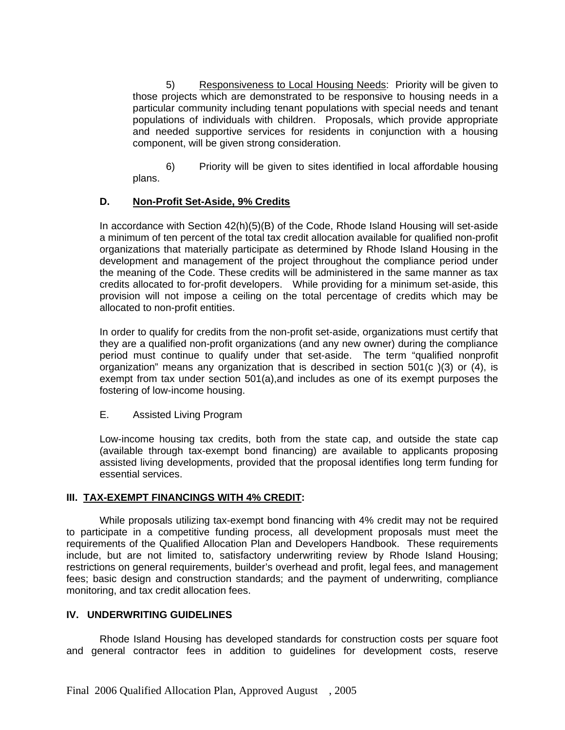5) Responsiveness to Local Housing Needs: Priority will be given to those projects which are demonstrated to be responsive to housing needs in a particular community including tenant populations with special needs and tenant populations of individuals with children. Proposals, which provide appropriate and needed supportive services for residents in conjunction with a housing component, will be given strong consideration.

6) Priority will be given to sites identified in local affordable housing plans.

# **D. Non-Profit Set-Aside, 9% Credits**

In accordance with Section  $42(h)(5)(B)$  of the Code, Rhode Island Housing will set-aside a minimum of ten percent of the total tax credit allocation available for qualified non-profit organizations that materially participate as determined by Rhode Island Housing in the development and management of the project throughout the compliance period under the meaning of the Code. These credits will be administered in the same manner as tax credits allocated to for-profit developers. While providing for a minimum set-aside, this provision will not impose a ceiling on the total percentage of credits which may be allocated to non-profit entities.

In order to qualify for credits from the non-profit set-aside, organizations must certify that they are a qualified non-profit organizations (and any new owner) during the compliance period must continue to qualify under that set-aside. The term "qualified nonprofit organization" means any organization that is described in section 501(c )(3) or (4), is exempt from tax under section 501(a),and includes as one of its exempt purposes the fostering of low-income housing.

#### E. Assisted Living Program

Low-income housing tax credits, both from the state cap, and outside the state cap (available through tax-exempt bond financing) are available to applicants proposing assisted living developments, provided that the proposal identifies long term funding for essential services.

#### **III. TAX-EXEMPT FINANCINGS WITH 4% CREDIT:**

While proposals utilizing tax-exempt bond financing with 4% credit may not be required to participate in a competitive funding process, all development proposals must meet the requirements of the Qualified Allocation Plan and Developers Handbook. These requirements include, but are not limited to, satisfactory underwriting review by Rhode Island Housing; restrictions on general requirements, builder's overhead and profit, legal fees, and management fees; basic design and construction standards; and the payment of underwriting, compliance monitoring, and tax credit allocation fees.

#### **IV. UNDERWRITING GUIDELINES**

Rhode Island Housing has developed standards for construction costs per square foot and general contractor fees in addition to guidelines for development costs, reserve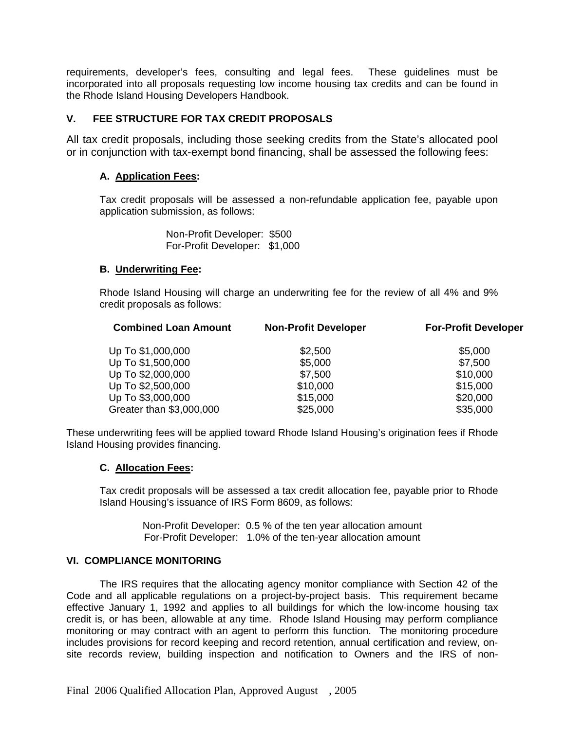requirements, developer's fees, consulting and legal fees. These guidelines must be incorporated into all proposals requesting low income housing tax credits and can be found in the Rhode Island Housing Developers Handbook.

# **V. FEE STRUCTURE FOR TAX CREDIT PROPOSALS**

All tax credit proposals, including those seeking credits from the State's allocated pool or in conjunction with tax-exempt bond financing, shall be assessed the following fees:

#### **A. Application Fees:**

Tax credit proposals will be assessed a non-refundable application fee, payable upon application submission, as follows:

> Non-Profit Developer: \$500 For-Profit Developer: \$1,000

#### **B. Underwriting Fee:**

Rhode Island Housing will charge an underwriting fee for the review of all 4% and 9% credit proposals as follows:

| <b>Combined Loan Amount</b> | <b>Non-Profit Developer</b> | <b>For-Profit Developer</b> |
|-----------------------------|-----------------------------|-----------------------------|
| Up To \$1,000,000           | \$2,500                     | \$5,000                     |
| Up To \$1,500,000           | \$5,000                     | \$7,500                     |
| Up To \$2,000,000           | \$7,500                     | \$10,000                    |
| Up To \$2,500,000           | \$10,000                    | \$15,000                    |
| Up To \$3,000,000           | \$15,000                    | \$20,000                    |
| Greater than \$3,000,000    | \$25,000                    | \$35,000                    |

These underwriting fees will be applied toward Rhode Island Housing's origination fees if Rhode Island Housing provides financing.

#### **C. Allocation Fees:**

Tax credit proposals will be assessed a tax credit allocation fee, payable prior to Rhode Island Housing's issuance of IRS Form 8609, as follows:

> Non-Profit Developer: 0.5 % of the ten year allocation amount For-Profit Developer: 1.0% of the ten-year allocation amount

#### **VI. COMPLIANCE MONITORING**

The IRS requires that the allocating agency monitor compliance with Section 42 of the Code and all applicable regulations on a project-by-project basis. This requirement became effective January 1, 1992 and applies to all buildings for which the low-income housing tax credit is, or has been, allowable at any time. Rhode Island Housing may perform compliance monitoring or may contract with an agent to perform this function. The monitoring procedure includes provisions for record keeping and record retention, annual certification and review, onsite records review, building inspection and notification to Owners and the IRS of non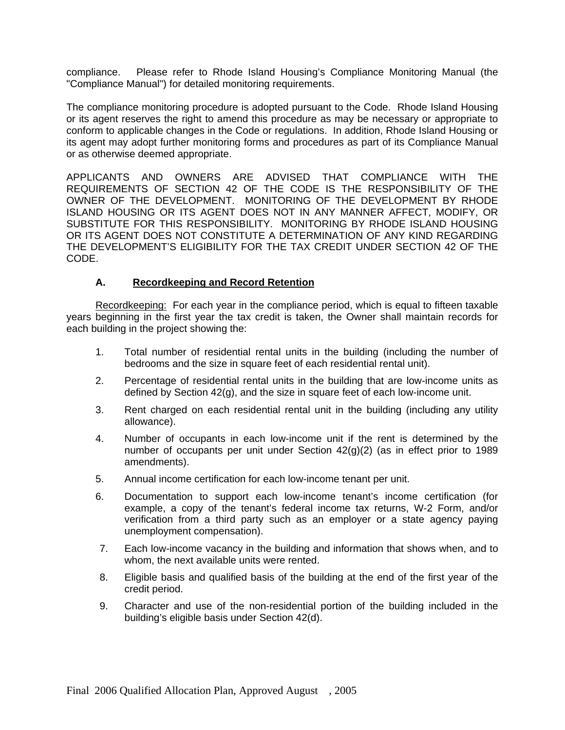compliance. Please refer to Rhode Island Housing's Compliance Monitoring Manual (the "Compliance Manual") for detailed monitoring requirements.

The compliance monitoring procedure is adopted pursuant to the Code. Rhode Island Housing or its agent reserves the right to amend this procedure as may be necessary or appropriate to conform to applicable changes in the Code or regulations. In addition, Rhode Island Housing or its agent may adopt further monitoring forms and procedures as part of its Compliance Manual or as otherwise deemed appropriate.

APPLICANTS AND OWNERS ARE ADVISED THAT COMPLIANCE WITH THE REQUIREMENTS OF SECTION 42 OF THE CODE IS THE RESPONSIBILITY OF THE OWNER OF THE DEVELOPMENT. MONITORING OF THE DEVELOPMENT BY RHODE ISLAND HOUSING OR ITS AGENT DOES NOT IN ANY MANNER AFFECT, MODIFY, OR SUBSTITUTE FOR THIS RESPONSIBILITY. MONITORING BY RHODE ISLAND HOUSING OR ITS AGENT DOES NOT CONSTITUTE A DETERMINATION OF ANY KIND REGARDING THE DEVELOPMENT'S ELIGIBILITY FOR THE TAX CREDIT UNDER SECTION 42 OF THE CODE.

#### **A. Recordkeeping and Record Retention**

Recordkeeping: For each year in the compliance period, which is equal to fifteen taxable years beginning in the first year the tax credit is taken, the Owner shall maintain records for each building in the project showing the:

- 1. Total number of residential rental units in the building (including the number of bedrooms and the size in square feet of each residential rental unit).
- 2. Percentage of residential rental units in the building that are low-income units as defined by Section 42(g), and the size in square feet of each low-income unit.
- 3. Rent charged on each residential rental unit in the building (including any utility allowance).
- 4. Number of occupants in each low-income unit if the rent is determined by the number of occupants per unit under Section 42(g)(2) (as in effect prior to 1989 amendments).
- 5. Annual income certification for each low-income tenant per unit.
- 6. Documentation to support each low-income tenant's income certification (for example, a copy of the tenant's federal income tax returns, W-2 Form, and/or verification from a third party such as an employer or a state agency paying unemployment compensation).
- 7. Each low-income vacancy in the building and information that shows when, and to whom, the next available units were rented.
- 8. Eligible basis and qualified basis of the building at the end of the first year of the credit period.
- 9. Character and use of the non-residential portion of the building included in the building's eligible basis under Section 42(d).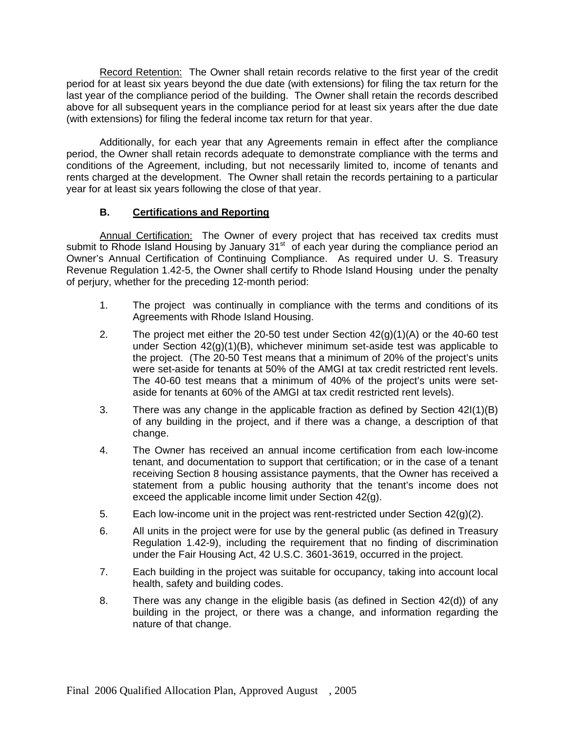Record Retention: The Owner shall retain records relative to the first year of the credit period for at least six years beyond the due date (with extensions) for filing the tax return for the last year of the compliance period of the building. The Owner shall retain the records described above for all subsequent years in the compliance period for at least six years after the due date (with extensions) for filing the federal income tax return for that year.

Additionally, for each year that any Agreements remain in effect after the compliance period, the Owner shall retain records adequate to demonstrate compliance with the terms and conditions of the Agreement, including, but not necessarily limited to, income of tenants and rents charged at the development. The Owner shall retain the records pertaining to a particular year for at least six years following the close of that year.

# **B. Certifications and Reporting**

Annual Certification: The Owner of every project that has received tax credits must submit to Rhode Island Housing by January 31<sup>st</sup> of each year during the compliance period an Owner's Annual Certification of Continuing Compliance. As required under U. S. Treasury Revenue Regulation 1.42-5, the Owner shall certify to Rhode Island Housing under the penalty of perjury, whether for the preceding 12-month period:

- 1. The project was continually in compliance with the terms and conditions of its Agreements with Rhode Island Housing.
- 2. The project met either the 20-50 test under Section 42(g)(1)(A) or the 40-60 test under Section 42(g)(1)(B), whichever minimum set-aside test was applicable to the project. (The 20-50 Test means that a minimum of 20% of the project's units were set-aside for tenants at 50% of the AMGI at tax credit restricted rent levels. The 40-60 test means that a minimum of 40% of the project's units were setaside for tenants at 60% of the AMGI at tax credit restricted rent levels).
- 3. There was any change in the applicable fraction as defined by Section 42I(1)(B) of any building in the project, and if there was a change, a description of that change.
- 4. The Owner has received an annual income certification from each low-income tenant, and documentation to support that certification; or in the case of a tenant receiving Section 8 housing assistance payments, that the Owner has received a statement from a public housing authority that the tenant's income does not exceed the applicable income limit under Section 42(g).
- 5. Each low-income unit in the project was rent-restricted under Section  $42(g)(2)$ .
- 6. All units in the project were for use by the general public (as defined in Treasury Regulation 1.42-9), including the requirement that no finding of discrimination under the Fair Housing Act, 42 U.S.C. 3601-3619, occurred in the project.
- 7. Each building in the project was suitable for occupancy, taking into account local health, safety and building codes.
- 8. There was any change in the eligible basis (as defined in Section 42(d)) of any building in the project, or there was a change, and information regarding the nature of that change.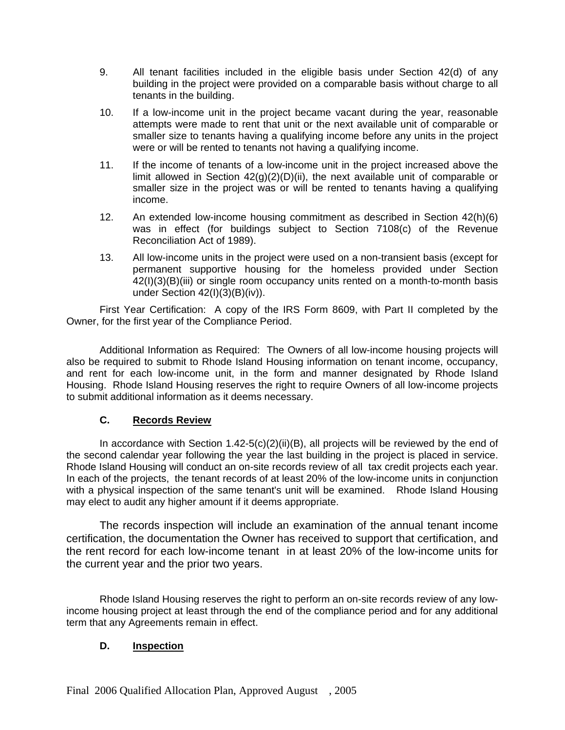- 9. All tenant facilities included in the eligible basis under Section 42(d) of any building in the project were provided on a comparable basis without charge to all tenants in the building.
- 10. If a low-income unit in the project became vacant during the year, reasonable attempts were made to rent that unit or the next available unit of comparable or smaller size to tenants having a qualifying income before any units in the project were or will be rented to tenants not having a qualifying income.
- 11. If the income of tenants of a low-income unit in the project increased above the limit allowed in Section  $42(g)(2)(D)(ii)$ , the next available unit of comparable or smaller size in the project was or will be rented to tenants having a qualifying income.
- 12. An extended low-income housing commitment as described in Section 42(h)(6) was in effect (for buildings subject to Section 7108(c) of the Revenue Reconciliation Act of 1989).
- 13. All low-income units in the project were used on a non-transient basis (except for permanent supportive housing for the homeless provided under Section 42(I)(3)(B)(iii) or single room occupancy units rented on a month-to-month basis under Section 42(I)(3)(B)(iv)).

First Year Certification: A copy of the IRS Form 8609, with Part II completed by the Owner, for the first year of the Compliance Period.

Additional Information as Required: The Owners of all low-income housing projects will also be required to submit to Rhode Island Housing information on tenant income, occupancy, and rent for each low-income unit, in the form and manner designated by Rhode Island Housing. Rhode Island Housing reserves the right to require Owners of all low-income projects to submit additional information as it deems necessary.

# **C. Records Review**

In accordance with Section  $1.42-5(c)(2)(ii)(B)$ , all projects will be reviewed by the end of the second calendar year following the year the last building in the project is placed in service. Rhode Island Housing will conduct an on-site records review of all tax credit projects each year. In each of the projects, the tenant records of at least 20% of the low-income units in conjunction with a physical inspection of the same tenant's unit will be examined. Rhode Island Housing may elect to audit any higher amount if it deems appropriate.

The records inspection will include an examination of the annual tenant income certification, the documentation the Owner has received to support that certification, and the rent record for each low-income tenant in at least 20% of the low-income units for the current year and the prior two years.

Rhode Island Housing reserves the right to perform an on-site records review of any lowincome housing project at least through the end of the compliance period and for any additional term that any Agreements remain in effect.

# **D. Inspection**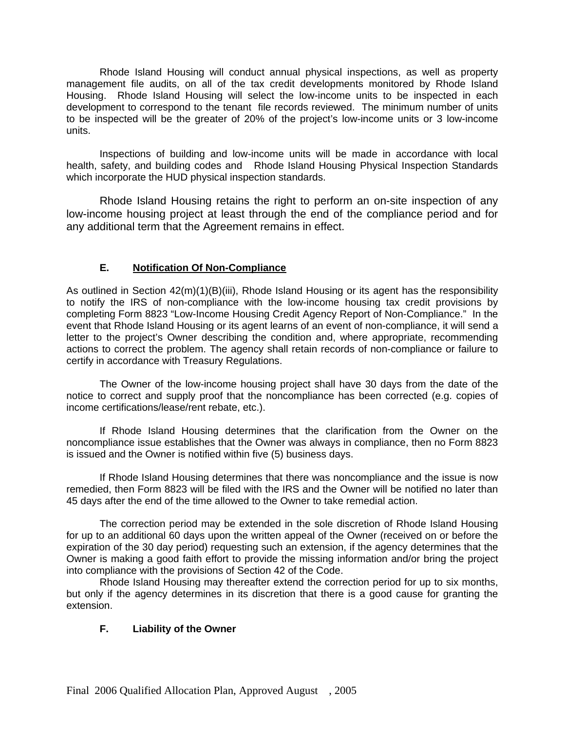Rhode Island Housing will conduct annual physical inspections, as well as property management file audits, on all of the tax credit developments monitored by Rhode Island Housing. Rhode Island Housing will select the low-income units to be inspected in each development to correspond to the tenant file records reviewed. The minimum number of units to be inspected will be the greater of 20% of the project's low-income units or 3 low-income units.

Inspections of building and low-income units will be made in accordance with local health, safety, and building codes and Rhode Island Housing Physical Inspection Standards which incorporate the HUD physical inspection standards.

Rhode Island Housing retains the right to perform an on-site inspection of any low-income housing project at least through the end of the compliance period and for any additional term that the Agreement remains in effect.

# **E. Notification Of Non-Compliance**

As outlined in Section 42(m)(1)(B)(iii), Rhode Island Housing or its agent has the responsibility to notify the IRS of non-compliance with the low-income housing tax credit provisions by completing Form 8823 "Low-Income Housing Credit Agency Report of Non-Compliance." In the event that Rhode Island Housing or its agent learns of an event of non-compliance, it will send a letter to the project's Owner describing the condition and, where appropriate, recommending actions to correct the problem. The agency shall retain records of non-compliance or failure to certify in accordance with Treasury Regulations.

The Owner of the low-income housing project shall have 30 days from the date of the notice to correct and supply proof that the noncompliance has been corrected (e.g. copies of income certifications/lease/rent rebate, etc.).

If Rhode Island Housing determines that the clarification from the Owner on the noncompliance issue establishes that the Owner was always in compliance, then no Form 8823 is issued and the Owner is notified within five (5) business days.

If Rhode Island Housing determines that there was noncompliance and the issue is now remedied, then Form 8823 will be filed with the IRS and the Owner will be notified no later than 45 days after the end of the time allowed to the Owner to take remedial action.

The correction period may be extended in the sole discretion of Rhode Island Housing for up to an additional 60 days upon the written appeal of the Owner (received on or before the expiration of the 30 day period) requesting such an extension, if the agency determines that the Owner is making a good faith effort to provide the missing information and/or bring the project into compliance with the provisions of Section 42 of the Code.

Rhode Island Housing may thereafter extend the correction period for up to six months, but only if the agency determines in its discretion that there is a good cause for granting the extension.

#### **F. Liability of the Owner**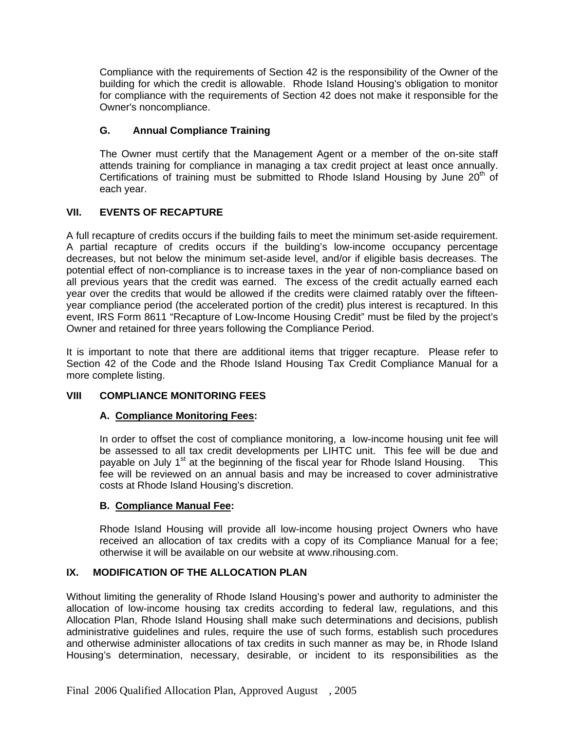Compliance with the requirements of Section 42 is the responsibility of the Owner of the building for which the credit is allowable. Rhode Island Housing's obligation to monitor for compliance with the requirements of Section 42 does not make it responsible for the Owner's noncompliance.

# **G. Annual Compliance Training**

The Owner must certify that the Management Agent or a member of the on-site staff attends training for compliance in managing a tax credit project at least once annually. Certifications of training must be submitted to Rhode Island Housing by June  $20<sup>th</sup>$  of each year.

# **VII. EVENTS OF RECAPTURE**

A full recapture of credits occurs if the building fails to meet the minimum set-aside requirement. A partial recapture of credits occurs if the building's low-income occupancy percentage decreases, but not below the minimum set-aside level, and/or if eligible basis decreases. The potential effect of non-compliance is to increase taxes in the year of non-compliance based on all previous years that the credit was earned. The excess of the credit actually earned each year over the credits that would be allowed if the credits were claimed ratably over the fifteenyear compliance period (the accelerated portion of the credit) plus interest is recaptured. In this event, IRS Form 8611 "Recapture of Low-Income Housing Credit" must be filed by the project's Owner and retained for three years following the Compliance Period.

It is important to note that there are additional items that trigger recapture. Please refer to Section 42 of the Code and the Rhode Island Housing Tax Credit Compliance Manual for a more complete listing.

#### **VIII COMPLIANCE MONITORING FEES**

# **A. Compliance Monitoring Fees:**

In order to offset the cost of compliance monitoring, a low-income housing unit fee will be assessed to all tax credit developments per LIHTC unit. This fee will be due and payable on July  $1<sup>st</sup>$  at the beginning of the fiscal year for Rhode Island Housing. This fee will be reviewed on an annual basis and may be increased to cover administrative costs at Rhode Island Housing's discretion.

#### **B. Compliance Manual Fee:**

Rhode Island Housing will provide all low-income housing project Owners who have received an allocation of tax credits with a copy of its Compliance Manual for a fee; otherwise it will be available on our website at www.rihousing.com.

#### **IX. MODIFICATION OF THE ALLOCATION PLAN**

Without limiting the generality of Rhode Island Housing's power and authority to administer the allocation of low-income housing tax credits according to federal law, regulations, and this Allocation Plan, Rhode Island Housing shall make such determinations and decisions, publish administrative guidelines and rules, require the use of such forms, establish such procedures and otherwise administer allocations of tax credits in such manner as may be, in Rhode Island Housing's determination, necessary, desirable, or incident to its responsibilities as the